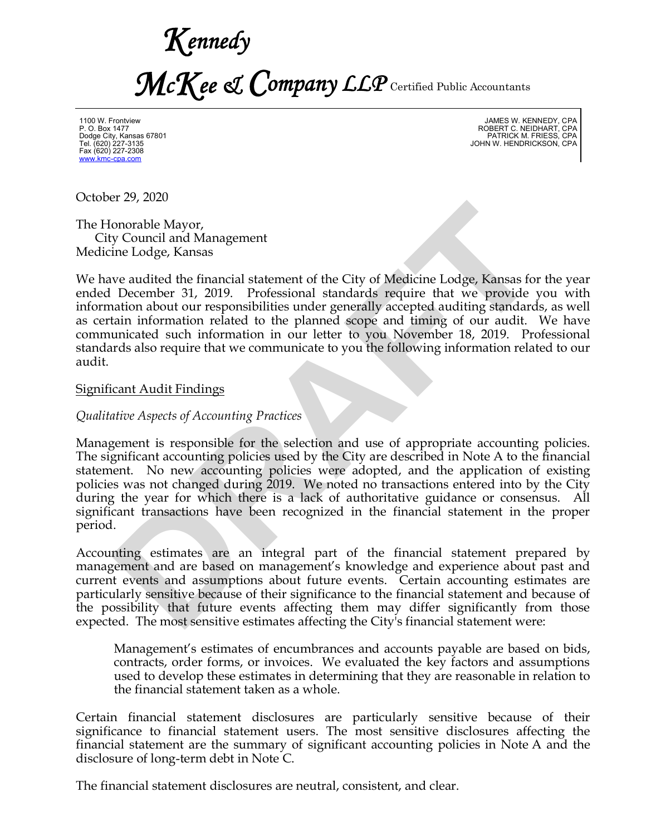*Kennedy McKee & Company LLP* Certified Public Accountants

1100 W. Frontview P. O. Box 1477 Dodge City, Kansas 67801 Tel. (620) 227-3135 Fax (620) 227-2308 www.kmc-cpa.com

JAMES W. KENNEDY, CPA ROBERT C. NEIDHART, CPA PATRICK M. FRIESS, CPA JOHN W. HENDRICKSON, CPA

October 29, 2020

The Honorable Mayor, City Council and Management Medicine Lodge, Kansas

We have audited the financial statement of the City of Medicine Lodge, Kansas for the year ended December 31, 2019. Professional standards require that we provide you with information about our responsibilities under generally accepted auditing standards, as well as certain information related to the planned scope and timing of our audit. We have communicated such information in our letter to you November 18, 2019. Professional standards also require that we communicate to you the following information related to our audit.

#### Significant Audit Findings

*Qualitative Aspects of Accounting Practices*

Management is responsible for the selection and use of appropriate accounting policies. The significant accounting policies used by the City are described in Note A to the financial statement. No new accounting policies were adopted, and the application of existing policies was not changed during 2019. We noted no transactions entered into by the City during the year for which there is a lack of authoritative guidance or consensus. All significant transactions have been recognized in the financial statement in the proper period. En 27, 2020<br>
Ionorable Mayor,<br>
Ionorable Mayor,<br>
Ionorable Mayor,<br>
Incorable Mayor,<br>
Incores 31, 2019. Professional standards require that we provide<br>
1 December 31, 2019. Professional standards require that we provide<br>
1

Accounting estimates are an integral part of the financial statement prepared by management and are based on management's knowledge and experience about past and current events and assumptions about future events. Certain accounting estimates are particularly sensitive because of their significance to the financial statement and because of the possibility that future events affecting them may differ significantly from those expected. The most sensitive estimates affecting the City's financial statement were:

Management's estimates of encumbrances and accounts payable are based on bids, contracts, order forms, or invoices. We evaluated the key factors and assumptions used to develop these estimates in determining that they are reasonable in relation to the financial statement taken as a whole.

Certain financial statement disclosures are particularly sensitive because of their significance to financial statement users. The most sensitive disclosures affecting the financial statement are the summary of significant accounting policies in Note A and the disclosure of long-term debt in Note C.

The financial statement disclosures are neutral, consistent, and clear.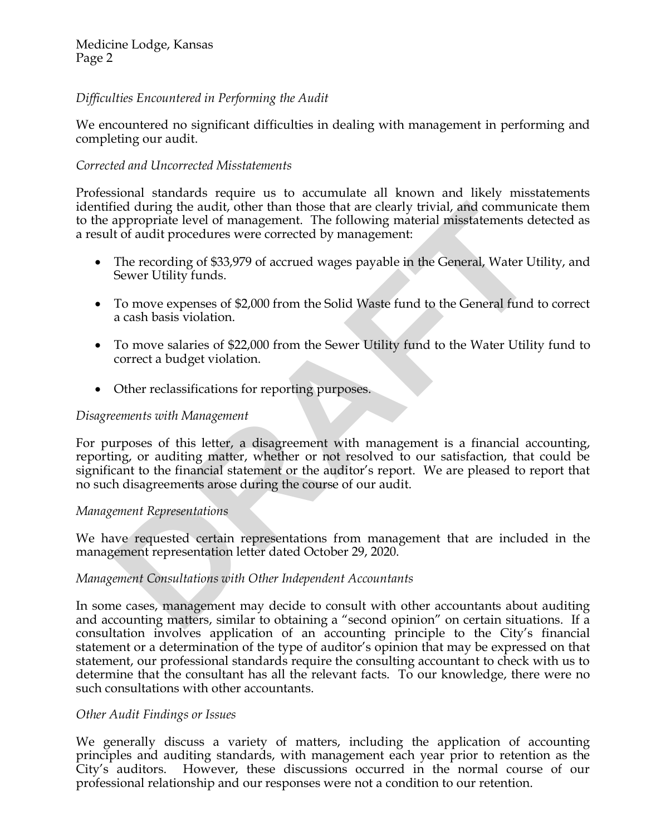# Medicine Lodge, Kansas Page 2

# *Difficulties Encountered in Performing the Audit*

We encountered no significant difficulties in dealing with management in performing and completing our audit.

# *Corrected and Uncorrected Misstatements*

Professional standards require us to accumulate all known and likely misstatements identified during the audit, other than those that are clearly trivial, and communicate them to the appropriate level of management. The following material misstatements detected as a result of audit procedures were corrected by management:

- The recording of \$33,979 of accrued wages payable in the General, Water Utility, and Sewer Utility funds.
- · To move expenses of \$2,000 from the Solid Waste fund to the General fund to correct a cash basis violation.
- · To move salaries of \$22,000 from the Sewer Utility fund to the Water Utility fund to correct a budget violation.
- · Other reclassifications for reporting purposes.

#### *Disagreements with Management*

For purposes of this letter, a disagreement with management is a financial accounting, reporting, or auditing matter, whether or not resolved to our satisfaction, that could be significant to the financial statement or the auditor's report. We are pleased to report that no such disagreements arose during the course of our audit. fied during the audit,<sup>1</sup> other than those that are clearly trivial, and communic<br>appropriate level of management. The following material misstatements de<br>th of audit procedures were corrected by management:<br>The recording

## *Management Representations*

We have requested certain representations from management that are included in the management representation letter dated October 29, 2020.

## *Management Consultations with Other Independent Accountants*

In some cases, management may decide to consult with other accountants about auditing and accounting matters, similar to obtaining a "second opinion" on certain situations. If a consultation involves application of an accounting principle to the City's financial statement or a determination of the type of auditor's opinion that may be expressed on that statement, our professional standards require the consulting accountant to check with us to determine that the consultant has all the relevant facts. To our knowledge, there were no such consultations with other accountants.

## *Other Audit Findings or Issues*

We generally discuss a variety of matters, including the application of accounting principles and auditing standards, with management each year prior to retention as the City's auditors. However, these discussions occurred in the normal course of our professional relationship and our responses were not a condition to our retention.